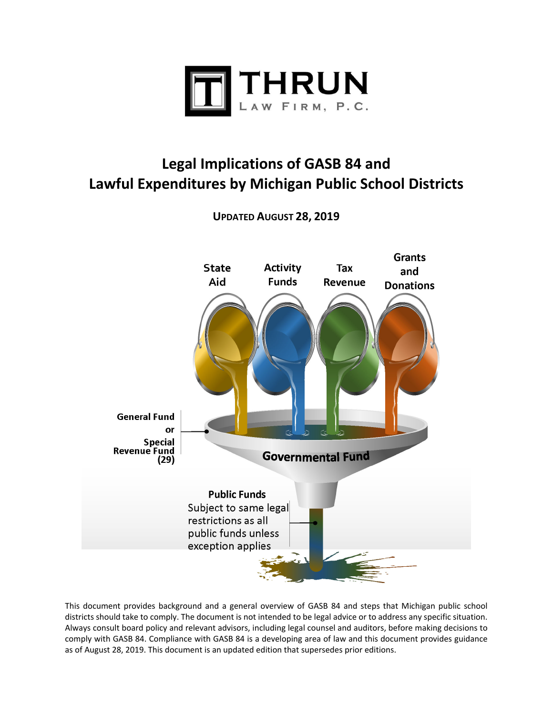

# **Legal Implications of GASB 84 and Lawful Expenditures by Michigan Public School Districts**



**UPDATED AUGUST 28, 2019** 

This document provides background and a general overview of GASB 84 and steps that Michigan public school districts should take to comply. The document is not intended to be legal advice or to address any specific situation. Always consult board policy and relevant advisors, including legal counsel and auditors, before making decisions to comply with GASB 84. Compliance with GASB 84 is a developing area of law and this document provides guidance as of August 28, 2019. This document is an updated edition that supersedes prior editions.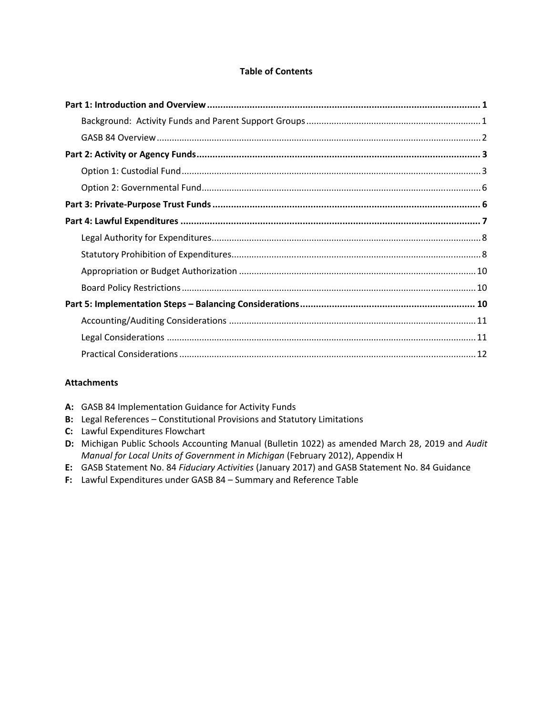# **Table of Contents**

# **Attachments**

- A: GASB 84 Implementation Guidance for Activity Funds
- **B:**  Legal References Constitutional Provisions and Statutory Limitations
- **C:**  Lawful Expenditures Flowchart
- **D:**  Michigan Public Schools Accounting Manual (Bulletin 1022) as amended March 28, 2019 and *Audit Manual for Local Units of Government in Michigan* (February 2012), Appendix H
- **E:**  GASB Statement No. 84 *Fiduciary Activities* (January 2017) and GASB Statement No. 84 Guidance
- **F:**  Lawful Expenditures under GASB 84 Summary and Reference Table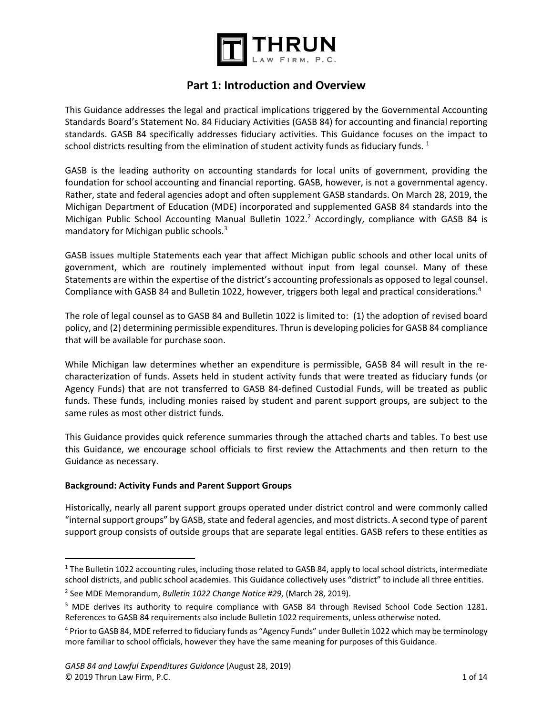

# **Part 1: Introduction and Overview**

This Guidance addresses the legal and practical implications triggered by the Governmental Accounting Standards Board's Statement No. 84 Fiduciary Activities (GASB 84) for accounting and financial reporting standards. GASB 84 specifically addresses fiduciary activities. This Guidance focuses on the impact to school districts resulting from the elimination of student activity funds as fiduciary funds.  $1$ 

GASB is the leading authority on accounting standards for local units of government, providing the foundation for school accounting and financial reporting. GASB, however, is not a governmental agency. Rather, state and federal agencies adopt and often supplement GASB standards. On March 28, 2019, the Michigan Department of Education (MDE) incorporated and supplemented GASB 84 standards into the Michigan Public School Accounting Manual Bulletin 1022.<sup>2</sup> Accordingly, compliance with GASB 84 is mandatory for Michigan public schools.<sup>3</sup>

GASB issues multiple Statements each year that affect Michigan public schools and other local units of government, which are routinely implemented without input from legal counsel. Many of these Statements are within the expertise of the district's accounting professionals as opposed to legal counsel. Compliance with GASB 84 and Bulletin 1022, however, triggers both legal and practical considerations.4

The role of legal counsel as to GASB 84 and Bulletin 1022 is limited to: (1) the adoption of revised board policy, and (2) determining permissible expenditures. Thrun is developing policies for GASB 84 compliance that will be available for purchase soon.

While Michigan law determines whether an expenditure is permissible, GASB 84 will result in the recharacterization of funds. Assets held in student activity funds that were treated as fiduciary funds (or Agency Funds) that are not transferred to GASB 84‐defined Custodial Funds, will be treated as public funds. These funds, including monies raised by student and parent support groups, are subject to the same rules as most other district funds.

This Guidance provides quick reference summaries through the attached charts and tables. To best use this Guidance, we encourage school officials to first review the Attachments and then return to the Guidance as necessary.

## **Background: Activity Funds and Parent Support Groups**

 $\overline{a}$ 

Historically, nearly all parent support groups operated under district control and were commonly called "internal support groups" by GASB, state and federal agencies, and most districts. A second type of parent support group consists of outside groups that are separate legal entities. GASB refers to these entities as

<sup>&</sup>lt;sup>1</sup> The Bulletin 1022 accounting rules, including those related to GASB 84, apply to local school districts, intermediate school districts, and public school academies. This Guidance collectively uses "district" to include all three entities.

<sup>2</sup> See MDE Memorandum, *Bulletin 1022 Change Notice #29*, (March 28, 2019).

<sup>&</sup>lt;sup>3</sup> MDE derives its authority to require compliance with GASB 84 through Revised School Code Section 1281. References to GASB 84 requirements also include Bulletin 1022 requirements, unless otherwise noted.

<sup>4</sup> Prior to GASB 84, MDE referred to fiduciary funds as "Agency Funds" under Bulletin 1022 which may be terminology more familiar to school officials, however they have the same meaning for purposes of this Guidance.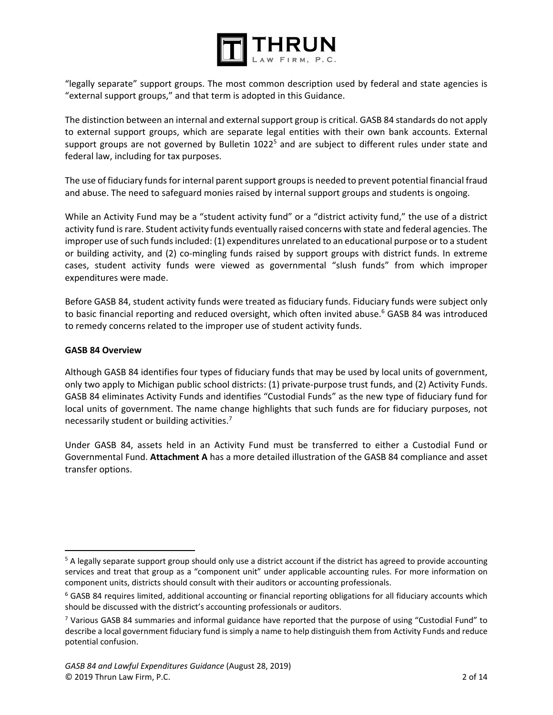

"legally separate" support groups. The most common description used by federal and state agencies is "external support groups," and that term is adopted in this Guidance.

The distinction between an internal and external support group is critical. GASB 84 standards do not apply to external support groups, which are separate legal entities with their own bank accounts. External support groups are not governed by Bulletin 1022<sup>5</sup> and are subject to different rules under state and federal law, including for tax purposes.

The use of fiduciary funds for internal parent support groups is needed to prevent potential financial fraud and abuse. The need to safeguard monies raised by internal support groups and students is ongoing.

While an Activity Fund may be a "student activity fund" or a "district activity fund," the use of a district activity fund is rare. Student activity funds eventually raised concerns with state and federal agencies. The improper use of such funds included: (1) expenditures unrelated to an educational purpose or to a student or building activity, and (2) co-mingling funds raised by support groups with district funds. In extreme cases, student activity funds were viewed as governmental "slush funds" from which improper expenditures were made.

Before GASB 84, student activity funds were treated as fiduciary funds. Fiduciary funds were subject only to basic financial reporting and reduced oversight, which often invited abuse.<sup>6</sup> GASB 84 was introduced to remedy concerns related to the improper use of student activity funds.

#### **GASB 84 Overview**

 $\overline{a}$ 

Although GASB 84 identifies four types of fiduciary funds that may be used by local units of government, only two apply to Michigan public school districts: (1) private‐purpose trust funds, and (2) Activity Funds. GASB 84 eliminates Activity Funds and identifies "Custodial Funds" as the new type of fiduciary fund for local units of government. The name change highlights that such funds are for fiduciary purposes, not necessarily student or building activities.7

Under GASB 84, assets held in an Activity Fund must be transferred to either a Custodial Fund or Governmental Fund. **Attachment A** has a more detailed illustration of the GASB 84 compliance and asset transfer options.

<sup>&</sup>lt;sup>5</sup> A legally separate support group should only use a district account if the district has agreed to provide accounting services and treat that group as a "component unit" under applicable accounting rules. For more information on component units, districts should consult with their auditors or accounting professionals.

<sup>6</sup> GASB 84 requires limited, additional accounting or financial reporting obligations for all fiduciary accounts which should be discussed with the district's accounting professionals or auditors.

<sup>&</sup>lt;sup>7</sup> Various GASB 84 summaries and informal guidance have reported that the purpose of using "Custodial Fund" to describe a local government fiduciary fund is simply a name to help distinguish them from Activity Funds and reduce potential confusion.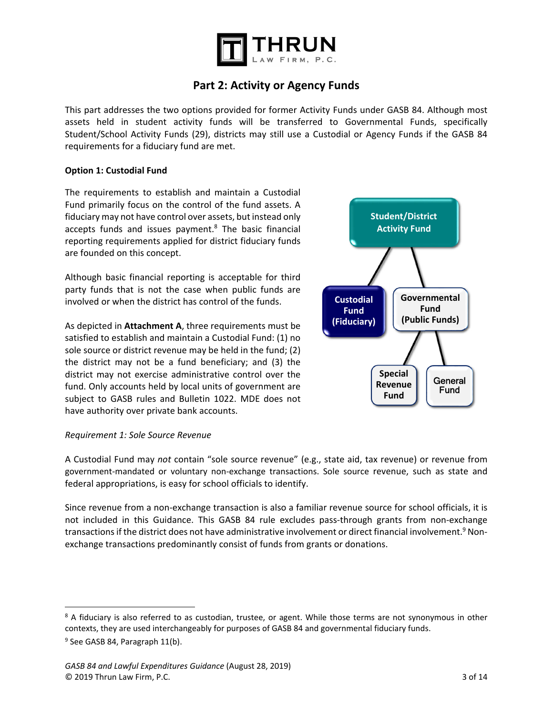

# **Part 2: Activity or Agency Funds**

This part addresses the two options provided for former Activity Funds under GASB 84. Although most assets held in student activity funds will be transferred to Governmental Funds, specifically Student/School Activity Funds (29), districts may still use a Custodial or Agency Funds if the GASB 84 requirements for a fiduciary fund are met.

#### **Option 1: Custodial Fund**

The requirements to establish and maintain a Custodial Fund primarily focus on the control of the fund assets. A fiduciary may not have control over assets, but instead only accepts funds and issues payment.<sup>8</sup> The basic financial reporting requirements applied for district fiduciary funds are founded on this concept.

Although basic financial reporting is acceptable for third party funds that is not the case when public funds are involved or when the district has control of the funds.

As depicted in **Attachment A**, three requirements must be satisfied to establish and maintain a Custodial Fund: (1) no sole source or district revenue may be held in the fund; (2) the district may not be a fund beneficiary; and (3) the district may not exercise administrative control over the fund. Only accounts held by local units of government are subject to GASB rules and Bulletin 1022. MDE does not have authority over private bank accounts.



#### *Requirement 1: Sole Source Revenue*

 $\overline{\phantom{a}}$ 

A Custodial Fund may *not* contain "sole source revenue" (e.g., state aid, tax revenue) or revenue from government-mandated or voluntary non-exchange transactions. Sole source revenue, such as state and federal appropriations, is easy for school officials to identify.

Since revenue from a non-exchange transaction is also a familiar revenue source for school officials, it is not included in this Guidance. This GASB 84 rule excludes pass-through grants from non-exchange transactions if the district does not have administrative involvement or direct financial involvement. $^9$  Nonexchange transactions predominantly consist of funds from grants or donations.

<sup>&</sup>lt;sup>8</sup> A fiduciary is also referred to as custodian, trustee, or agent. While those terms are not synonymous in other contexts, they are used interchangeably for purposes of GASB 84 and governmental fiduciary funds. <sup>9</sup> See GASB 84, Paragraph 11(b).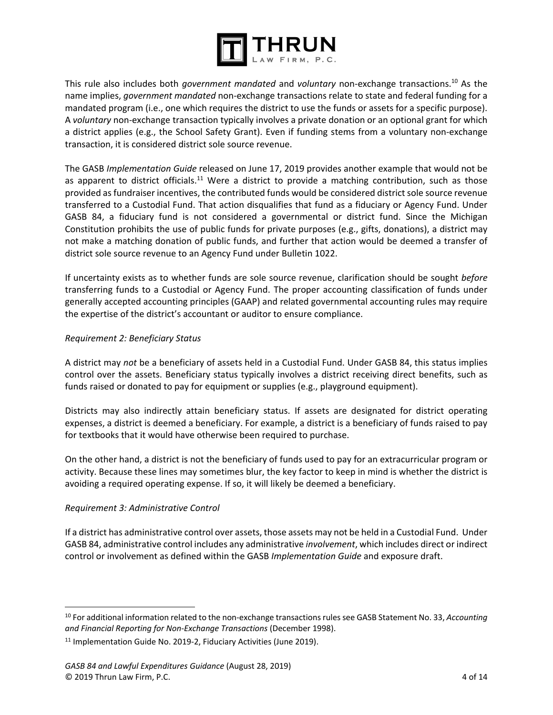

This rule also includes both *government mandated* and *voluntary* non‐exchange transactions.10 As the name implies, *government mandated* non‐exchange transactions relate to state and federal funding for a mandated program (i.e., one which requires the district to use the funds or assets for a specific purpose). A *voluntary* non‐exchange transaction typically involves a private donation or an optional grant for which a district applies (e.g., the School Safety Grant). Even if funding stems from a voluntary non‐exchange transaction, it is considered district sole source revenue.

The GASB *Implementation Guide* released on June 17, 2019 provides another example that would not be as apparent to district officials.<sup>11</sup> Were a district to provide a matching contribution, such as those provided as fundraiser incentives, the contributed funds would be considered district sole source revenue transferred to a Custodial Fund. That action disqualifies that fund as a fiduciary or Agency Fund. Under GASB 84, a fiduciary fund is not considered a governmental or district fund. Since the Michigan Constitution prohibits the use of public funds for private purposes (e.g., gifts, donations), a district may not make a matching donation of public funds, and further that action would be deemed a transfer of district sole source revenue to an Agency Fund under Bulletin 1022.

If uncertainty exists as to whether funds are sole source revenue, clarification should be sought *before* transferring funds to a Custodial or Agency Fund. The proper accounting classification of funds under generally accepted accounting principles (GAAP) and related governmental accounting rules may require the expertise of the district's accountant or auditor to ensure compliance.

# *Requirement 2: Beneficiary Status*

A district may *not* be a beneficiary of assets held in a Custodial Fund. Under GASB 84, this status implies control over the assets. Beneficiary status typically involves a district receiving direct benefits, such as funds raised or donated to pay for equipment or supplies (e.g., playground equipment).

Districts may also indirectly attain beneficiary status. If assets are designated for district operating expenses, a district is deemed a beneficiary. For example, a district is a beneficiary of funds raised to pay for textbooks that it would have otherwise been required to purchase.

On the other hand, a district is not the beneficiary of funds used to pay for an extracurricular program or activity. Because these lines may sometimes blur, the key factor to keep in mind is whether the district is avoiding a required operating expense. If so, it will likely be deemed a beneficiary.

## *Requirement 3: Administrative Control*

 $\overline{a}$ 

If a district has administrative control over assets, those assets may not be held in a Custodial Fund. Under GASB 84, administrative control includes any administrative *involvement*, which includes direct or indirect control or involvement as defined within the GASB *Implementation Guide* and exposure draft.

<sup>10</sup> For additional information related to the non‐exchange transactions rules see GASB Statement No. 33, *Accounting and Financial Reporting for Non‐Exchange Transactions* (December 1998).

<sup>&</sup>lt;sup>11</sup> Implementation Guide No. 2019-2, Fiduciary Activities (June 2019).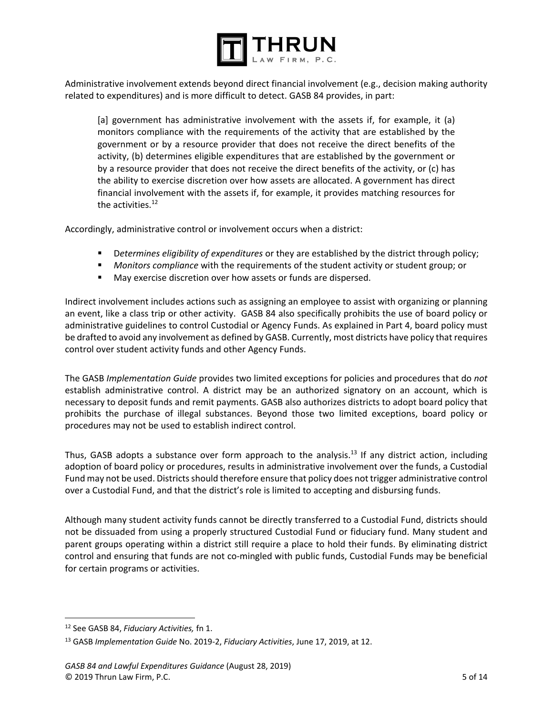

Administrative involvement extends beyond direct financial involvement (e.g., decision making authority related to expenditures) and is more difficult to detect. GASB 84 provides, in part:

[a] government has administrative involvement with the assets if, for example, it (a) monitors compliance with the requirements of the activity that are established by the government or by a resource provider that does not receive the direct benefits of the activity, (b) determines eligible expenditures that are established by the government or by a resource provider that does not receive the direct benefits of the activity, or (c) has the ability to exercise discretion over how assets are allocated. A government has direct financial involvement with the assets if, for example, it provides matching resources for the activities. $12$ 

Accordingly, administrative control or involvement occurs when a district:

- D*etermines eligibility of expenditures* or they are established by the district through policy;
- *Monitors compliance* with the requirements of the student activity or student group; or
- **May exercise discretion over how assets or funds are dispersed.**

Indirect involvement includes actions such as assigning an employee to assist with organizing or planning an event, like a class trip or other activity. GASB 84 also specifically prohibits the use of board policy or administrative guidelines to control Custodial or Agency Funds. As explained in Part 4, board policy must be drafted to avoid any involvement as defined by GASB. Currently, most districts have policy that requires control over student activity funds and other Agency Funds.

The GASB *Implementation Guide* provides two limited exceptions for policies and procedures that do *not* establish administrative control. A district may be an authorized signatory on an account, which is necessary to deposit funds and remit payments. GASB also authorizes districts to adopt board policy that prohibits the purchase of illegal substances. Beyond those two limited exceptions, board policy or procedures may not be used to establish indirect control.

Thus, GASB adopts a substance over form approach to the analysis.<sup>13</sup> If any district action, including adoption of board policy or procedures, results in administrative involvement over the funds, a Custodial Fund may not be used. Districts should therefore ensure that policy does not trigger administrative control over a Custodial Fund, and that the district's role is limited to accepting and disbursing funds.

Although many student activity funds cannot be directly transferred to a Custodial Fund, districts should not be dissuaded from using a properly structured Custodial Fund or fiduciary fund. Many student and parent groups operating within a district still require a place to hold their funds. By eliminating district control and ensuring that funds are not co-mingled with public funds, Custodial Funds may be beneficial for certain programs or activities.

<sup>12</sup> See GASB 84, *Fiduciary Activities,* fn 1.

<sup>13</sup> GASB *Implementation Guide* No. 2019‐2, *Fiduciary Activities*, June 17, 2019, at 12.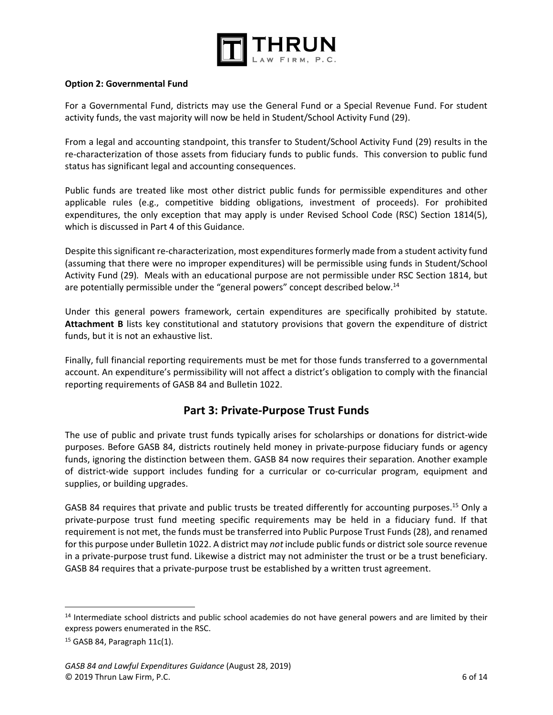

#### **Option 2: Governmental Fund**

For a Governmental Fund, districts may use the General Fund or a Special Revenue Fund. For student activity funds, the vast majority will now be held in Student/School Activity Fund (29).

From a legal and accounting standpoint, this transfer to Student/School Activity Fund (29) results in the re-characterization of those assets from fiduciary funds to public funds. This conversion to public fund status has significant legal and accounting consequences.

Public funds are treated like most other district public funds for permissible expenditures and other applicable rules (e.g., competitive bidding obligations, investment of proceeds). For prohibited expenditures, the only exception that may apply is under Revised School Code (RSC) Section 1814(5), which is discussed in Part 4 of this Guidance.

Despite this significant re-characterization, most expenditures formerly made from a student activity fund (assuming that there were no improper expenditures) will be permissible using funds in Student/School Activity Fund (29)*.* Meals with an educational purpose are not permissible under RSC Section 1814, but are potentially permissible under the "general powers" concept described below.<sup>14</sup>

Under this general powers framework, certain expenditures are specifically prohibited by statute. **Attachment B** lists key constitutional and statutory provisions that govern the expenditure of district funds, but it is not an exhaustive list.

Finally, full financial reporting requirements must be met for those funds transferred to a governmental account. An expenditure's permissibility will not affect a district's obligation to comply with the financial reporting requirements of GASB 84 and Bulletin 1022.

# **Part 3: Private‐Purpose Trust Funds**

The use of public and private trust funds typically arises for scholarships or donations for district‐wide purposes. Before GASB 84, districts routinely held money in private‐purpose fiduciary funds or agency funds, ignoring the distinction between them. GASB 84 now requires their separation. Another example of district-wide support includes funding for a curricular or co-curricular program, equipment and supplies, or building upgrades.

GASB 84 requires that private and public trusts be treated differently for accounting purposes.<sup>15</sup> Only a private-purpose trust fund meeting specific requirements may be held in a fiduciary fund. If that requirement is not met, the funds must be transferred into Public Purpose Trust Funds (28), and renamed for this purpose under Bulletin 1022. A district may *not* include public funds or district sole source revenue in a private‐purpose trust fund. Likewise a district may not administer the trust or be a trust beneficiary. GASB 84 requires that a private-purpose trust be established by a written trust agreement.

<sup>&</sup>lt;sup>14</sup> Intermediate school districts and public school academies do not have general powers and are limited by their express powers enumerated in the RSC.

 $15$  GASB 84, Paragraph  $11c(1)$ .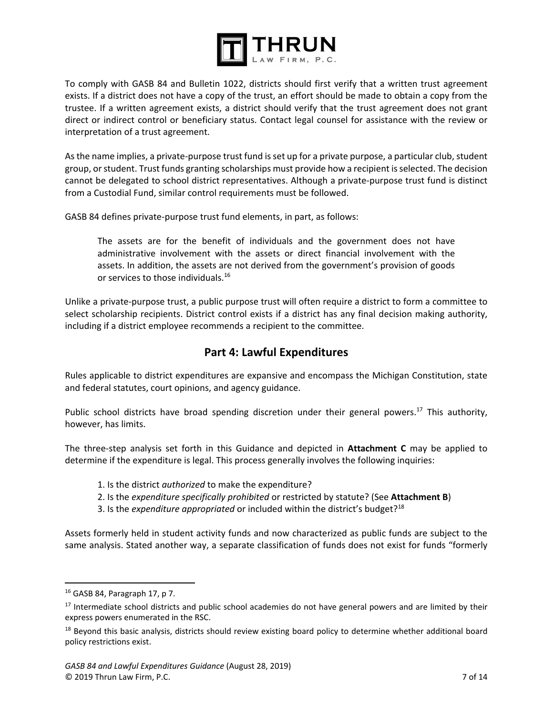

To comply with GASB 84 and Bulletin 1022, districts should first verify that a written trust agreement exists. If a district does not have a copy of the trust, an effort should be made to obtain a copy from the trustee. If a written agreement exists, a district should verify that the trust agreement does not grant direct or indirect control or beneficiary status. Contact legal counsel for assistance with the review or interpretation of a trust agreement.

As the name implies, a private‐purpose trust fund is set up for a private purpose, a particular club, student group, or student. Trust funds granting scholarships must provide how a recipient is selected. The decision cannot be delegated to school district representatives. Although a private‐purpose trust fund is distinct from a Custodial Fund, similar control requirements must be followed.

GASB 84 defines private‐purpose trust fund elements, in part, as follows:

The assets are for the benefit of individuals and the government does not have administrative involvement with the assets or direct financial involvement with the assets. In addition, the assets are not derived from the government's provision of goods or services to those individuals.<sup>16</sup>

Unlike a private‐purpose trust, a public purpose trust will often require a district to form a committee to select scholarship recipients. District control exists if a district has any final decision making authority, including if a district employee recommends a recipient to the committee.

# **Part 4: Lawful Expenditures**

Rules applicable to district expenditures are expansive and encompass the Michigan Constitution, state and federal statutes, court opinions, and agency guidance.

Public school districts have broad spending discretion under their general powers.<sup>17</sup> This authority, however, has limits.

The three‐step analysis set forth in this Guidance and depicted in **Attachment C** may be applied to determine if the expenditure is legal. This process generally involves the following inquiries:

# 1. Is the district *authorized* to make the expenditure?

- 2. Is the *expenditure specifically prohibited* or restricted by statute? (See **Attachment B**)
- 3. Is the *expenditure appropriated* or included within the district's budget?18

Assets formerly held in student activity funds and now characterized as public funds are subject to the same analysis. Stated another way, a separate classification of funds does not exist for funds "formerly

<sup>16</sup> GASB 84, Paragraph 17, p 7.

<sup>&</sup>lt;sup>17</sup> Intermediate school districts and public school academies do not have general powers and are limited by their express powers enumerated in the RSC.

<sup>&</sup>lt;sup>18</sup> Beyond this basic analysis, districts should review existing board policy to determine whether additional board policy restrictions exist.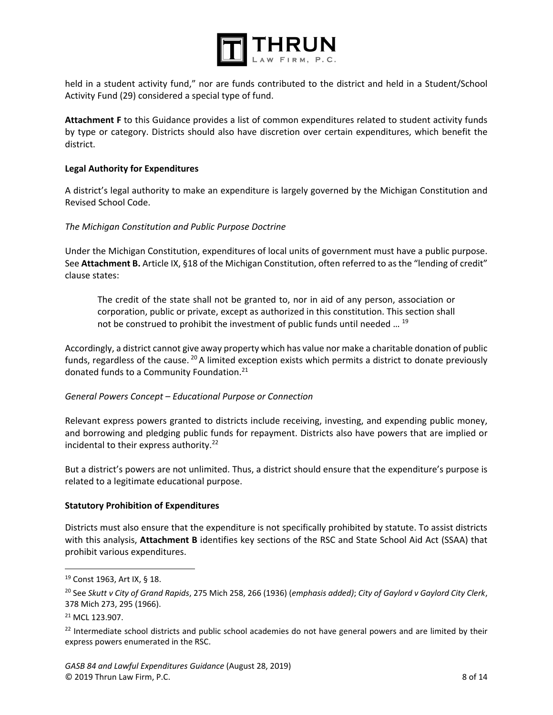

held in a student activity fund," nor are funds contributed to the district and held in a Student/School Activity Fund (29) considered a special type of fund.

**Attachment F** to this Guidance provides a list of common expenditures related to student activity funds by type or category. Districts should also have discretion over certain expenditures, which benefit the district.

## **Legal Authority for Expenditures**

A district's legal authority to make an expenditure is largely governed by the Michigan Constitution and Revised School Code.

#### *The Michigan Constitution and Public Purpose Doctrine*

Under the Michigan Constitution, expenditures of local units of government must have a public purpose. See **Attachment B.** Article IX, §18 of the Michigan Constitution, often referred to as the "lending of credit" clause states:

The credit of the state shall not be granted to, nor in aid of any person, association or corporation, public or private, except as authorized in this constitution. This section shall not be construed to prohibit the investment of public funds until needed ... <sup>19</sup>

Accordingly, a district cannot give away property which has value nor make a charitable donation of public funds, regardless of the cause.  $^{20}$  A limited exception exists which permits a district to donate previously donated funds to a Community Foundation.<sup>21</sup>

#### *General Powers Concept – Educational Purpose or Connection*

Relevant express powers granted to districts include receiving, investing, and expending public money, and borrowing and pledging public funds for repayment. Districts also have powers that are implied or incidental to their express authority. $22$ 

But a district's powers are not unlimited. Thus, a district should ensure that the expenditure's purpose is related to a legitimate educational purpose.

#### **Statutory Prohibition of Expenditures**

Districts must also ensure that the expenditure is not specifically prohibited by statute. To assist districts with this analysis, **Attachment B** identifies key sections of the RSC and State School Aid Act (SSAA) that prohibit various expenditures.

<sup>19</sup> Const 1963, Art IX, § 18.

<sup>20</sup> See *Skutt v City of Grand Rapids*, 275 Mich 258, 266 (1936) (*emphasis added)*; *City of Gaylord v Gaylord City Clerk*, 378 Mich 273, 295 (1966).

<sup>21</sup> MCL 123.907.

 $22$  Intermediate school districts and public school academies do not have general powers and are limited by their express powers enumerated in the RSC.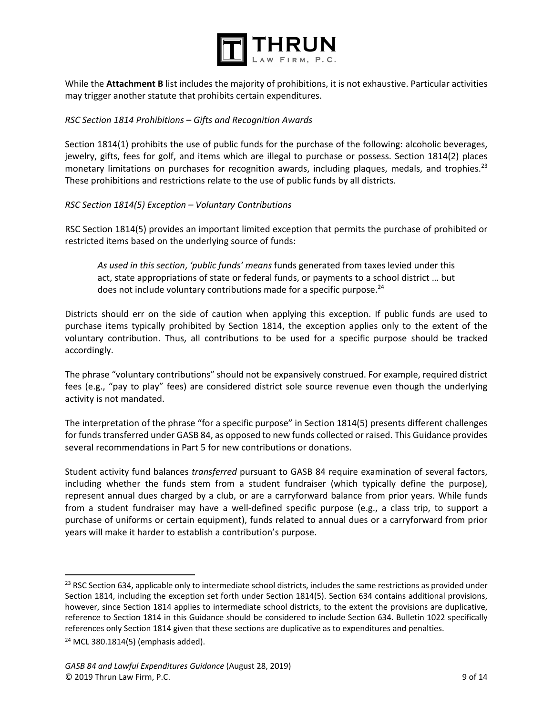

While the **Attachment B** list includes the majority of prohibitions, it is not exhaustive. Particular activities may trigger another statute that prohibits certain expenditures.

#### *RSC Section 1814 Prohibitions – Gifts and Recognition Awards*

Section 1814(1) prohibits the use of public funds for the purchase of the following: alcoholic beverages, jewelry, gifts, fees for golf, and items which are illegal to purchase or possess. Section 1814(2) places monetary limitations on purchases for recognition awards, including plaques, medals, and trophies.<sup>23</sup> These prohibitions and restrictions relate to the use of public funds by all districts.

#### *RSC Section 1814(5) Exception – Voluntary Contributions*

RSC Section 1814(5) provides an important limited exception that permits the purchase of prohibited or restricted items based on the underlying source of funds:

*As used in this section*, *'public funds' means* funds generated from taxes levied under this act, state appropriations of state or federal funds, or payments to a school district … but does not include voluntary contributions made for a specific purpose.<sup>24</sup>

Districts should err on the side of caution when applying this exception. If public funds are used to purchase items typically prohibited by Section 1814, the exception applies only to the extent of the voluntary contribution. Thus, all contributions to be used for a specific purpose should be tracked accordingly.

The phrase "voluntary contributions" should not be expansively construed. For example, required district fees (e.g., "pay to play" fees) are considered district sole source revenue even though the underlying activity is not mandated.

The interpretation of the phrase "for a specific purpose" in Section 1814(5) presents different challenges for funds transferred under GASB 84, as opposed to new funds collected or raised. This Guidance provides several recommendations in Part 5 for new contributions or donations.

Student activity fund balances *transferred* pursuant to GASB 84 require examination of several factors, including whether the funds stem from a student fundraiser (which typically define the purpose), represent annual dues charged by a club, or are a carryforward balance from prior years. While funds from a student fundraiser may have a well-defined specific purpose (e.g., a class trip, to support a purchase of uniforms or certain equipment), funds related to annual dues or a carryforward from prior years will make it harder to establish a contribution's purpose.

<sup>&</sup>lt;sup>23</sup> RSC Section 634, applicable only to intermediate school districts, includes the same restrictions as provided under Section 1814, including the exception set forth under Section 1814(5). Section 634 contains additional provisions, however, since Section 1814 applies to intermediate school districts, to the extent the provisions are duplicative, reference to Section 1814 in this Guidance should be considered to include Section 634. Bulletin 1022 specifically references only Section 1814 given that these sections are duplicative as to expenditures and penalties. 24 MCL 380.1814(5) (emphasis added).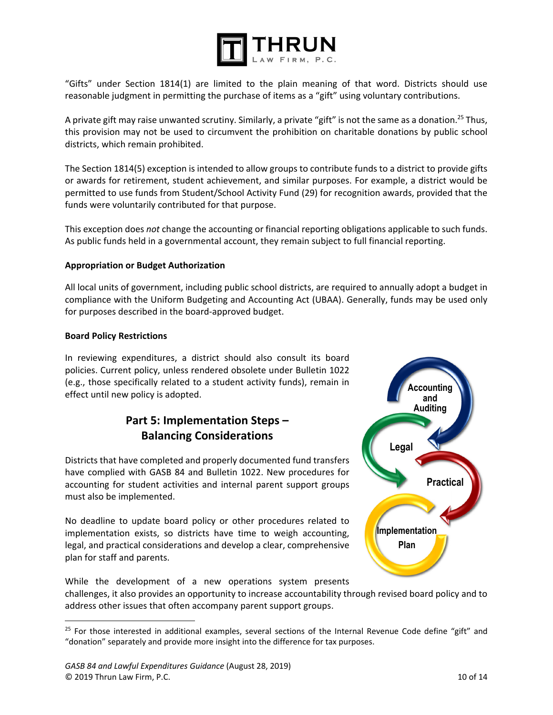

"Gifts" under Section 1814(1) are limited to the plain meaning of that word. Districts should use reasonable judgment in permitting the purchase of items as a "gift" using voluntary contributions.

A private gift may raise unwanted scrutiny. Similarly, a private "gift" is not the same as a donation.<sup>25</sup> Thus, this provision may not be used to circumvent the prohibition on charitable donations by public school districts, which remain prohibited.

The Section 1814(5) exception is intended to allow groups to contribute funds to a district to provide gifts or awards for retirement, student achievement, and similar purposes. For example, a district would be permitted to use funds from Student/School Activity Fund (29) for recognition awards, provided that the funds were voluntarily contributed for that purpose.

This exception does *not* change the accounting or financial reporting obligations applicable to such funds. As public funds held in a governmental account, they remain subject to full financial reporting.

# **Appropriation or Budget Authorization**

All local units of government, including public school districts, are required to annually adopt a budget in compliance with the Uniform Budgeting and Accounting Act (UBAA). Generally, funds may be used only for purposes described in the board‐approved budget.

#### **Board Policy Restrictions**

 $\overline{\phantom{a}}$ 

In reviewing expenditures, a district should also consult its board policies. Current policy, unless rendered obsolete under Bulletin 1022 (e.g., those specifically related to a student activity funds), remain in effect until new policy is adopted.

# **Part 5: Implementation Steps – Balancing Considerations**

Districts that have completed and properly documented fund transfers have complied with GASB 84 and Bulletin 1022. New procedures for accounting for student activities and internal parent support groups must also be implemented.

No deadline to update board policy or other procedures related to implementation exists, so districts have time to weigh accounting, legal, and practical considerations and develop a clear, comprehensive plan for staff and parents.



While the development of a new operations system presents challenges, it also provides an opportunity to increase accountability through revised board policy and to address other issues that often accompany parent support groups.

 $25$  For those interested in additional examples, several sections of the Internal Revenue Code define "gift" and "donation" separately and provide more insight into the difference for tax purposes.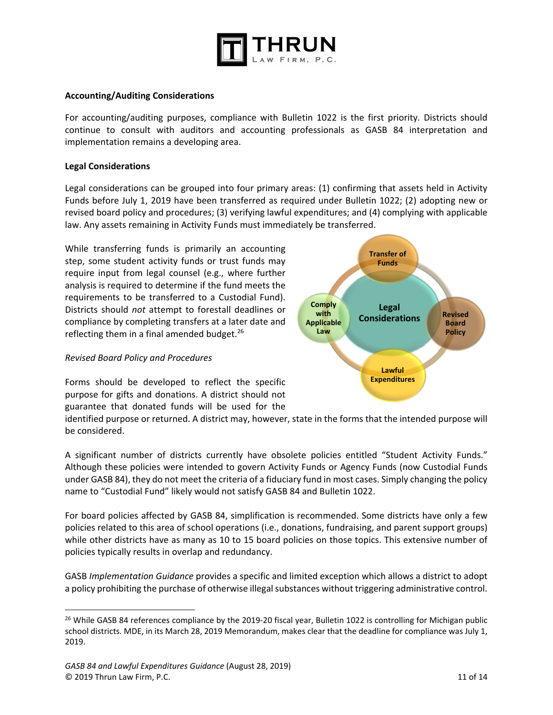

#### **Accounting/Auditing Considerations**

For accounting/auditing purposes, compliance with Bulletin 1022 is the first priority. Districts should continue to consult with auditors and accounting professionals as GASB 84 interpretation and implementation remains a developing area.

#### **Legal Considerations**

Legal considerations can be grouped into four primary areas: (1) confirming that assets held in Activity Funds before July 1, 2019 have been transferred as required under Bulletin 1022; (2) adopting new or revised board policy and procedures; (3) verifying lawful expenditures; and (4) complying with applicable law. Any assets remaining in Activity Funds must immediately be transferred.

While transferring funds is primarily an accounting step, some student activity funds or trust funds may require input from legal counsel (e.g., where further analysis is required to determine if the fund meets the requirements to be transferred to a Custodial Fund). Districts should *not*  attempt to forestall deadlines or compliance by completing transfers at a later date and reflecting them in a final amended budget. $^{26}$ 

#### *Revised Board Policy and Procedures*

 $\overline{\phantom{a}}$ 

Forms should be developed to reflect the specific purpose for gifts and donations. A district should not guarantee that donated funds will be used for the



identified purpose or returned. A district may, however, state in the forms that the intended purpose will be considered.

A significant number of districts currently have obsolete policies entitled "Student Activity Funds." Although these policies were intended to govern Activity Funds or Agency Funds (now Custodial Funds under GASB 84), they do not meet the criteria of a fiduciary fund in most cases. Simply changing the policy name to "Custodial Fund" likely would not satisfy GASB 84 and Bulletin 1022.

For board policies affected by GASB 84, simplification is recommended. Some districts have only a few policies related to this area of school operations (i.e., donations, fundraising, and parent support groups) while other districts have as many as 10 to 15 board policies on those topics. This extensive number of policies typically results in overlap and redundancy.

GASB *Implementation Guidance* provides a specific and limited exception which allows a district to adopt a policy prohibiting the purchase of otherwise illegal substances without triggering administrative control.

<sup>&</sup>lt;sup>26</sup> While GASB 84 references compliance by the 2019-20 fiscal year, Bulletin 1022 is controlling for Michigan public school districts. MDE, in its March 28, 2019 Memorandum, makes clear that the deadline for compliance was July 1, 2019.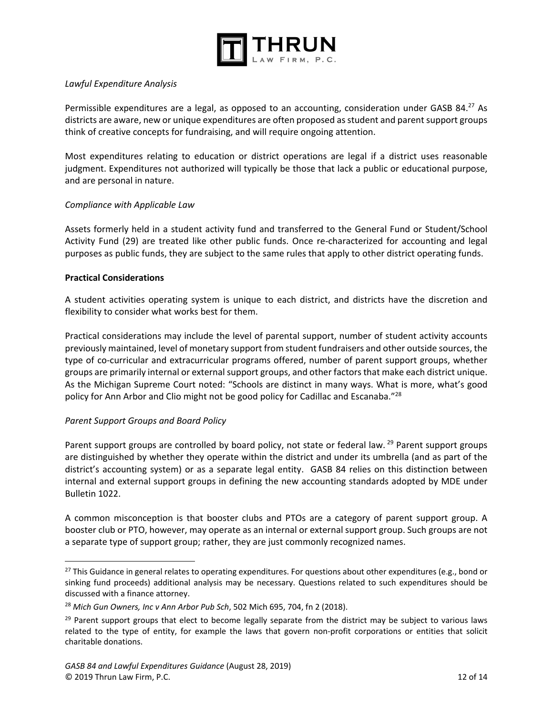

## *Lawful Expenditure Analysis*

Permissible expenditures are a legal, as opposed to an accounting, consideration under GASB 84.<sup>27</sup> As districts are aware, new or unique expenditures are often proposed as student and parent support groups think of creative concepts for fundraising, and will require ongoing attention.

Most expenditures relating to education or district operations are legal if a district uses reasonable judgment. Expenditures not authorized will typically be those that lack a public or educational purpose, and are personal in nature.

#### *Compliance with Applicable Law*

Assets formerly held in a student activity fund and transferred to the General Fund or Student/School Activity Fund (29) are treated like other public funds. Once re-characterized for accounting and legal purposes as public funds, they are subject to the same rules that apply to other district operating funds.

#### **Practical Considerations**

 $\overline{a}$ 

A student activities operating system is unique to each district, and districts have the discretion and flexibility to consider what works best for them.

Practical considerations may include the level of parental support, number of student activity accounts previously maintained, level of monetary support from student fundraisers and other outside sources, the type of co-curricular and extracurricular programs offered, number of parent support groups, whether groups are primarily internal or external support groups, and other factors that make each district unique. As the Michigan Supreme Court noted: "Schools are distinct in many ways. What is more, what's good policy for Ann Arbor and Clio might not be good policy for Cadillac and Escanaba."<sup>28</sup>

## *Parent Support Groups and Board Policy*

Parent support groups are controlled by board policy, not state or federal law. <sup>29</sup> Parent support groups are distinguished by whether they operate within the district and under its umbrella (and as part of the district's accounting system) or as a separate legal entity. GASB 84 relies on this distinction between internal and external support groups in defining the new accounting standards adopted by MDE under Bulletin 1022.

A common misconception is that booster clubs and PTOs are a category of parent support group. A booster club or PTO, however, may operate as an internal or external support group. Such groups are not a separate type of support group; rather, they are just commonly recognized names.

<sup>&</sup>lt;sup>27</sup> This Guidance in general relates to operating expenditures. For questions about other expenditures (e.g., bond or sinking fund proceeds) additional analysis may be necessary. Questions related to such expenditures should be discussed with a finance attorney.

<sup>28</sup> *Mich Gun Owners, Inc v Ann Arbor Pub Sch*, 502 Mich 695, 704, fn 2 (2018).

<sup>&</sup>lt;sup>29</sup> Parent support groups that elect to become legally separate from the district may be subject to various laws related to the type of entity, for example the laws that govern non-profit corporations or entities that solicit charitable donations.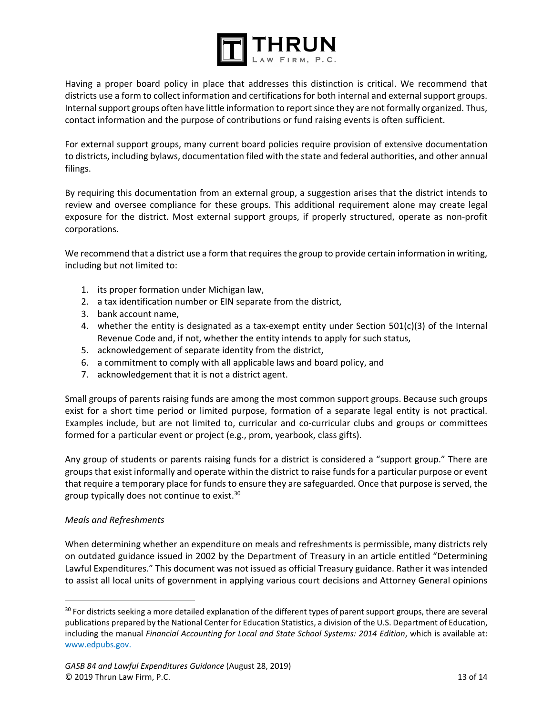

Having a proper board policy in place that addresses this distinction is critical. We recommend that districts use a form to collect information and certifications for both internal and external support groups. Internal support groups often have little information to report since they are not formally organized. Thus, contact information and the purpose of contributions or fund raising events is often sufficient.

For external support groups, many current board policies require provision of extensive documentation to districts, including bylaws, documentation filed with the state and federal authorities, and other annual filings.

By requiring this documentation from an external group, a suggestion arises that the district intends to review and oversee compliance for these groups. This additional requirement alone may create legal exposure for the district. Most external support groups, if properly structured, operate as non-profit corporations.

We recommend that a district use a form that requires the group to provide certain information in writing, including but not limited to:

- 1. its proper formation under Michigan law,
- 2. a tax identification number or EIN separate from the district,
- 3. bank account name,
- 4. whether the entity is designated as a tax-exempt entity under Section 501(c)(3) of the Internal Revenue Code and, if not, whether the entity intends to apply for such status,
- 5. acknowledgement of separate identity from the district,
- 6. a commitment to comply with all applicable laws and board policy, and
- 7. acknowledgement that it is not a district agent.

Small groups of parents raising funds are among the most common support groups. Because such groups exist for a short time period or limited purpose, formation of a separate legal entity is not practical. Examples include, but are not limited to, curricular and co-curricular clubs and groups or committees formed for a particular event or project (e.g., prom, yearbook, class gifts).

Any group of students or parents raising funds for a district is considered a "support group." There are groups that exist informally and operate within the district to raise funds for a particular purpose or event that require a temporary place for funds to ensure they are safeguarded. Once that purpose is served, the group typically does not continue to exist.<sup>30</sup>

## *Meals and Refreshments*

 $\overline{a}$ 

When determining whether an expenditure on meals and refreshments is permissible, many districts rely on outdated guidance issued in 2002 by the Department of Treasury in an article entitled "Determining Lawful Expenditures." This document was not issued as official Treasury guidance. Rather it was intended to assist all local units of government in applying various court decisions and Attorney General opinions

<sup>&</sup>lt;sup>30</sup> For districts seeking a more detailed explanation of the different types of parent support groups, there are several publications prepared by the National Center for Education Statistics, a division of the U.S. Department of Education, including the manual Financial Accounting for Local and State School Systems: 2014 Edition, which is available at: www.edpubs.gov.